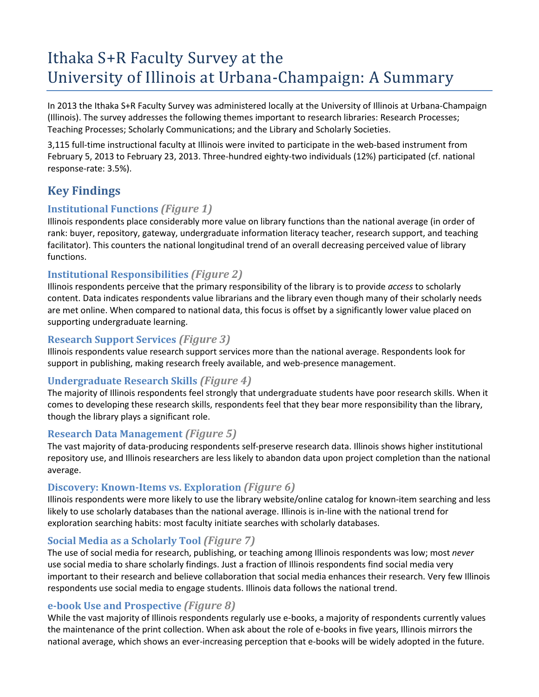# Ithaka S+R Faculty Survey at the University of Illinois at Urbana-Champaign: A Summary

In 2013 the Ithaka S+R Faculty Survey was administered locally at the University of Illinois at Urbana-Champaign (Illinois). The survey addresses the following themes important to research libraries: Research Processes; Teaching Processes; Scholarly Communications; and the Library and Scholarly Societies.

3,115 full-time instructional faculty at Illinois were invited to participate in the web-based instrument from February 5, 2013 to February 23, 2013. Three-hundred eighty-two individuals (12%) participated (cf. national response-rate: 3.5%).

# **Key Findings**

#### **Institutional Functions** *(Figure 1)*

Illinois respondents place considerably more value on library functions than the national average (in order of rank: buyer, repository, gateway, undergraduate information literacy teacher, research support, and teaching facilitator). This counters the national longitudinal trend of an overall decreasing perceived value of library functions.

#### **Institutional Responsibilities** *(Figure 2)*

Illinois respondents perceive that the primary responsibility of the library is to provide *access* to scholarly content. Data indicates respondents value librarians and the library even though many of their scholarly needs are met online. When compared to national data, this focus is offset by a significantly lower value placed on supporting undergraduate learning.

#### **Research Support Services** *(Figure 3)*

Illinois respondents value research support services more than the national average. Respondents look for support in publishing, making research freely available, and web-presence management.

#### **Undergraduate Research Skills** *(Figure 4)*

The majority of Illinois respondents feel strongly that undergraduate students have poor research skills. When it comes to developing these research skills, respondents feel that they bear more responsibility than the library, though the library plays a significant role.

#### **Research Data Management** *(Figure 5)*

The vast majority of data-producing respondents self-preserve research data. Illinois shows higher institutional repository use, and Illinois researchers are less likely to abandon data upon project completion than the national average.

#### **Discovery: Known-Items vs. Exploration** *(Figure 6)*

Illinois respondents were more likely to use the library website/online catalog for known-item searching and less likely to use scholarly databases than the national average. Illinois is in-line with the national trend for exploration searching habits: most faculty initiate searches with scholarly databases.

#### **Social Media as a Scholarly Tool** *(Figure 7)*

The use of social media for research, publishing, or teaching among Illinois respondents was low; most *never* use social media to share scholarly findings. Just a fraction of Illinois respondents find social media very important to their research and believe collaboration that social media enhances their research. Very few Illinois respondents use social media to engage students. Illinois data follows the national trend.

# **e-book Use and Prospective** *(Figure 8)*

While the vast majority of Illinois respondents regularly use e-books, a majority of respondents currently values the maintenance of the print collection. When ask about the role of e-books in five years, Illinois mirrors the national average, which shows an ever-increasing perception that e-books will be widely adopted in the future.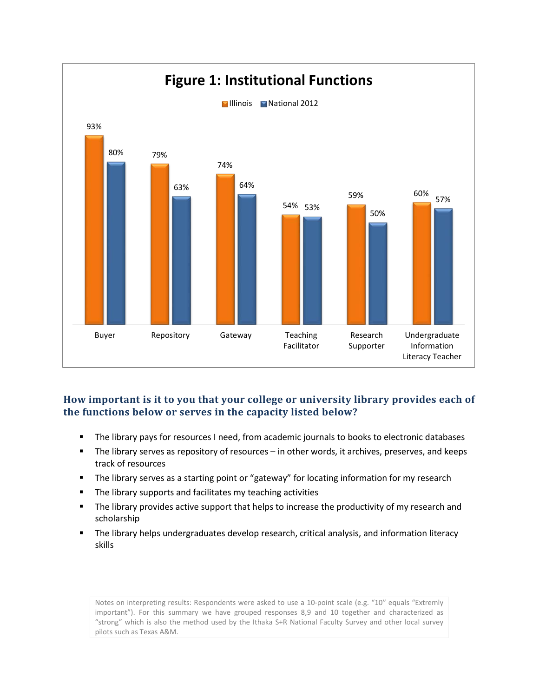

#### **How important is it to you that your college or university library provides each of the functions below or serves in the capacity listed below?**

- The library pays for resources I need, from academic journals to books to electronic databases
- The library serves as repository of resources in other words, it archives, preserves, and keeps track of resources
- **The library serves as a starting point or "gateway" for locating information for my research**
- **The library supports and facilitates my teaching activities**
- **The library provides active support that helps to increase the productivity of my research and** scholarship
- The library helps undergraduates develop research, critical analysis, and information literacy skills

Notes on interpreting results: Respondents were asked to use a 10-point scale (e.g. "10" equals "Extremly important"). For this summary we have grouped responses 8,9 and 10 together and characterized as "strong" which is also the method used by the Ithaka S+R National Faculty Survey and other local survey pilots such as Texas A&M.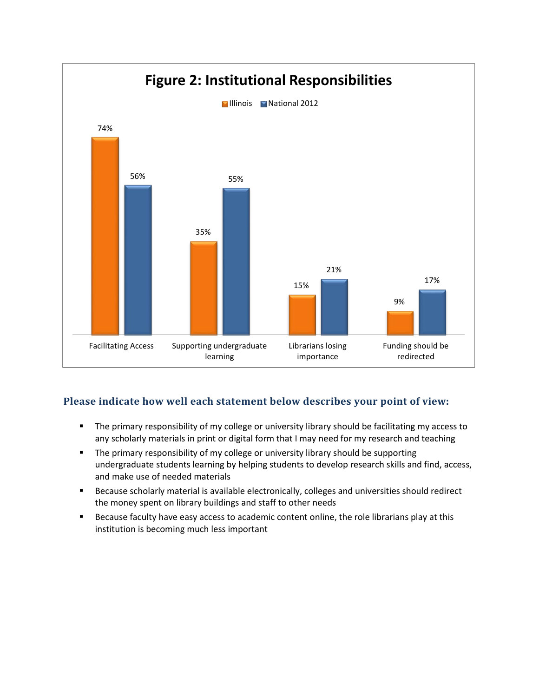

# **Please indicate how well each statement below describes your point of view:**

- The primary responsibility of my college or university library should be facilitating my access to any scholarly materials in print or digital form that I may need for my research and teaching
- **The primary responsibility of my college or university library should be supporting** undergraduate students learning by helping students to develop research skills and find, access, and make use of needed materials
- **Because scholarly material is available electronically, colleges and universities should redirect** the money spent on library buildings and staff to other needs
- **Because faculty have easy access to academic content online, the role librarians play at this** institution is becoming much less important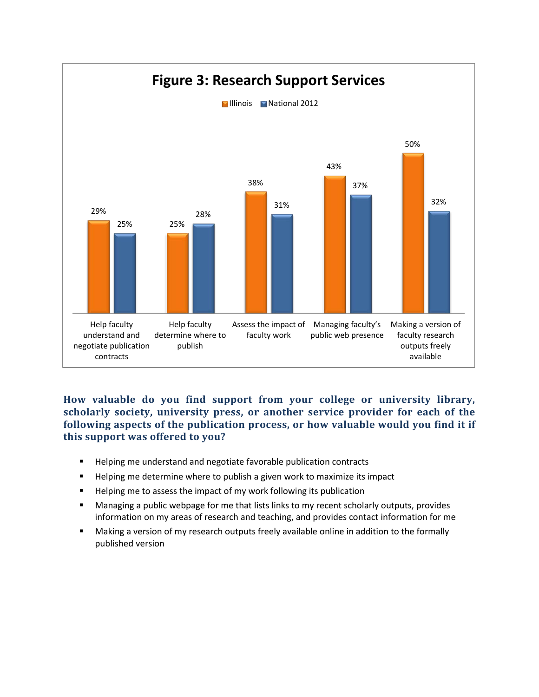

**How valuable do you find support from your college or university library, scholarly society, university press, or another service provider for each of the following aspects of the publication process, or how valuable would you find it if this support was offered to you?** 

- **Helping me understand and negotiate favorable publication contracts**
- **Helping me determine where to publish a given work to maximize its impact**
- **Helping me to assess the impact of my work following its publication**
- Managing a public webpage for me that lists links to my recent scholarly outputs, provides information on my areas of research and teaching, and provides contact information for me
- Making a version of my research outputs freely available online in addition to the formally published version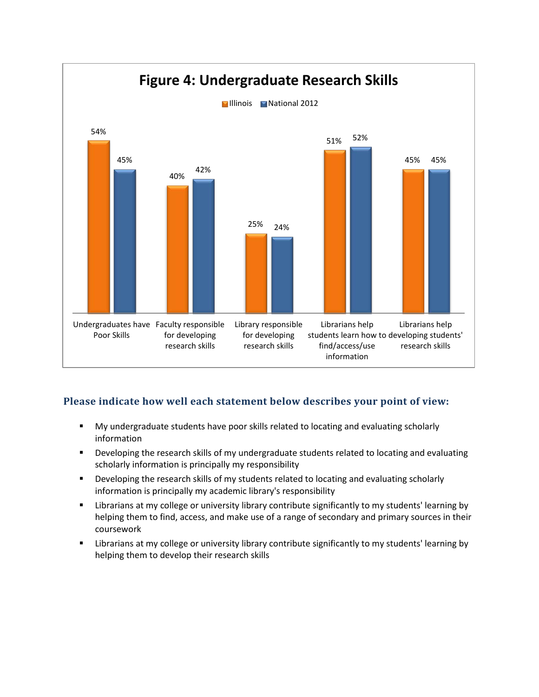

# **Please indicate how well each statement below describes your point of view:**

- My undergraduate students have poor skills related to locating and evaluating scholarly information
- **•** Developing the research skills of my undergraduate students related to locating and evaluating scholarly information is principally my responsibility
- **Developing the research skills of my students related to locating and evaluating scholarly** information is principally my academic library's responsibility
- Librarians at my college or university library contribute significantly to my students' learning by helping them to find, access, and make use of a range of secondary and primary sources in their coursework
- **EXED 1** Librarians at my college or university library contribute significantly to my students' learning by helping them to develop their research skills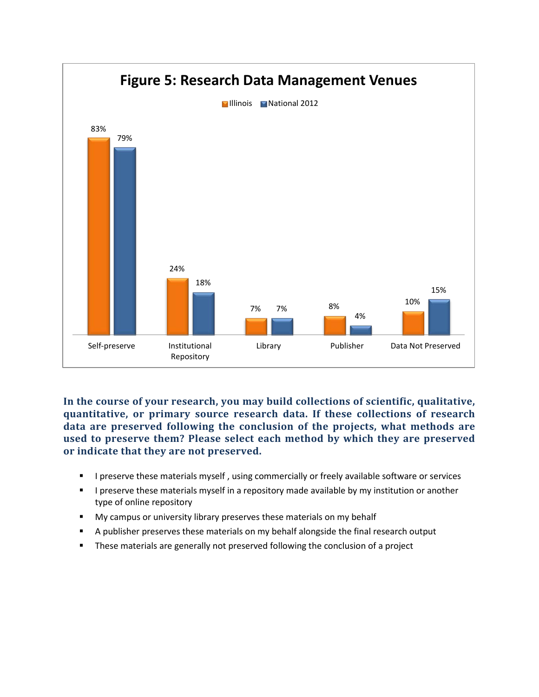

**In the course of your research, you may build collections of scientific, qualitative, quantitative, or primary source research data. If these collections of research data are preserved following the conclusion of the projects, what methods are used to preserve them? Please select each method by which they are preserved or indicate that they are not preserved.**

- **I** preserve these materials myself, using commercially or freely available software or services
- **I** preserve these materials myself in a repository made available by my institution or another type of online repository
- **My campus or university library preserves these materials on my behalf**
- **A** publisher preserves these materials on my behalf alongside the final research output
- **These materials are generally not preserved following the conclusion of a project**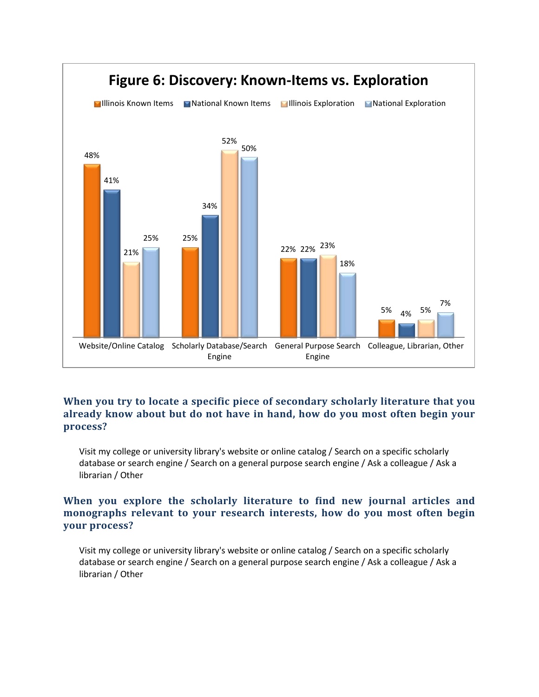

#### **When you try to locate a specific piece of secondary scholarly literature that you already know about but do not have in hand, how do you most often begin your process?**

Visit my college or university library's website or online catalog / Search on a specific scholarly database or search engine / Search on a general purpose search engine / Ask a colleague / Ask a librarian / Other

#### **When you explore the scholarly literature to find new journal articles and monographs relevant to your research interests, how do you most often begin your process?**

Visit my college or university library's website or online catalog / Search on a specific scholarly database or search engine / Search on a general purpose search engine / Ask a colleague / Ask a librarian / Other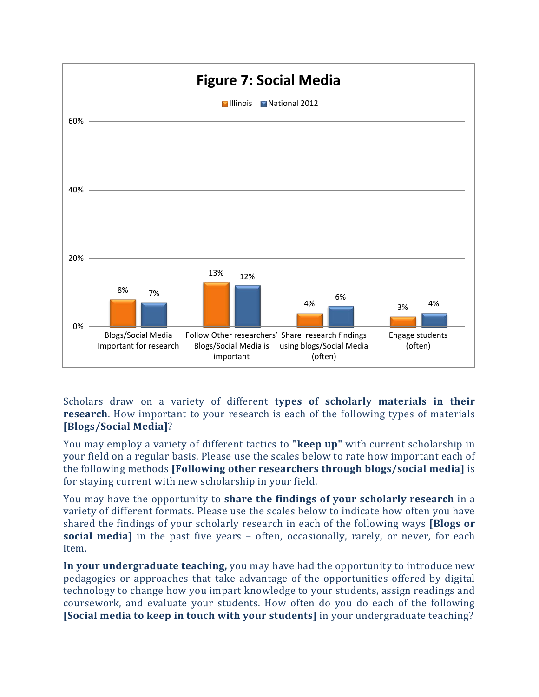

Scholars draw on a variety of different **types of scholarly materials in their research**. How important to your research is each of the following types of materials **[Blogs/Social Media]**?

You may employ a variety of different tactics to **"keep up"** with current scholarship in your field on a regular basis. Please use the scales below to rate how important each of the following methods **[Following other researchers through blogs/social media]** is for staying current with new scholarship in your field.

You may have the opportunity to **share the findings of your scholarly research** in a variety of different formats. Please use the scales below to indicate how often you have shared the findings of your scholarly research in each of the following ways **[Blogs or social media]** in the past five years – often, occasionally, rarely, or never, for each item.

**In your undergraduate teaching,** you may have had the opportunity to introduce new pedagogies or approaches that take advantage of the opportunities offered by digital technology to change how you impart knowledge to your students, assign readings and coursework, and evaluate your students. How often do you do each of the following **[Social media to keep in touch with your students]** in your undergraduate teaching?